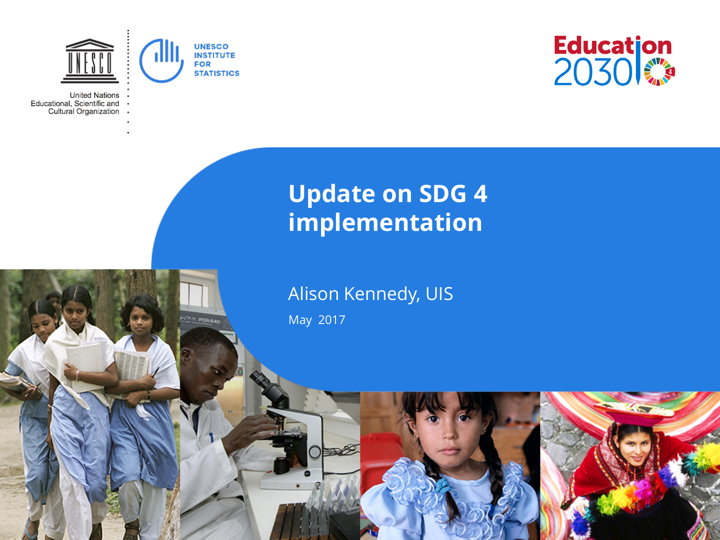

**CAS POR BAD** 

**United Nations** Educational, Scientific and Cultural Organization



#### **Update on SDG 4 implementation**

#### Alison Kennedy, UIS

May 2017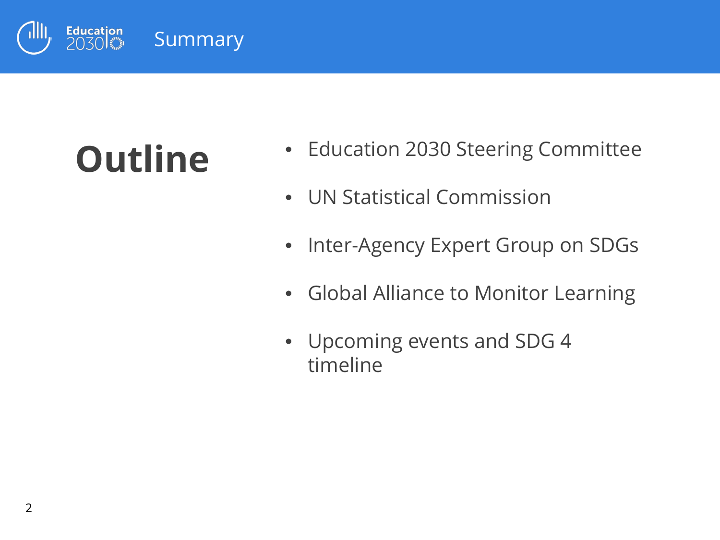

# **Outline**

- Education 2030 Steering Committee
- UN Statistical Commission
- Inter-Agency Expert Group on SDGs
- Global Alliance to Monitor Learning
- Upcoming events and SDG 4 timeline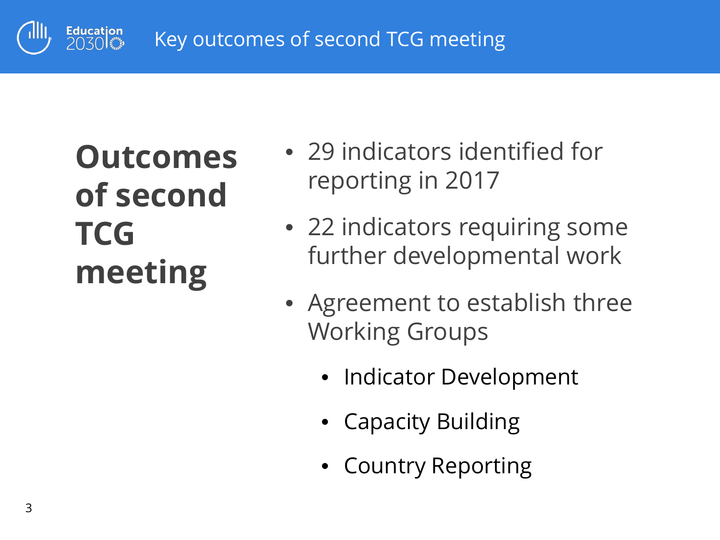

# **Outcomes of second TCG meeting**

- 29 indicators identified for reporting in 2017
- 22 indicators requiring some further developmental work
- Agreement to establish three Working Groups
	- Indicator Development
	- Capacity Building
	- Country Reporting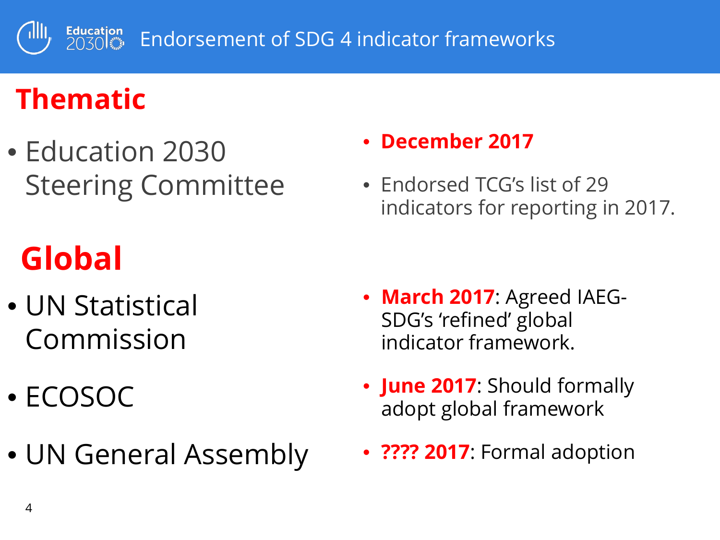Education<br>2030 Endorsement of SDG 4 indicator frameworks

## **Thematic**

• Education 2030 Steering Committee

# **Global**

- UN Statistical Commission
- ECOSOC
- UN General Assembly

#### • **December 2017**

• Endorsed TCG's list of 29 indicators for reporting in 2017.

- **March 2017**: Agreed IAEG-SDG's 'refined' global indicator framework.
- **June 2017**: Should formally adopt global framework
- **???? 2017**: Formal adoption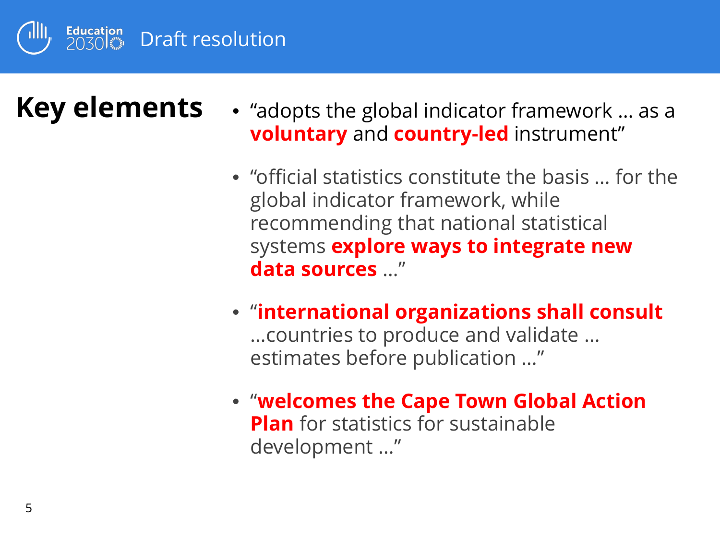

### **Key elements**

- "adopts the global indicator framework … as a **voluntary** and **country-led** instrument"
- "official statistics constitute the basis … for the global indicator framework, while recommending that national statistical systems **explore ways to integrate new data sources** …"
- "**international organizations shall consult**  …countries to produce and validate … estimates before publication …"
- "**welcomes the Cape Town Global Action Plan** for statistics for sustainable development …"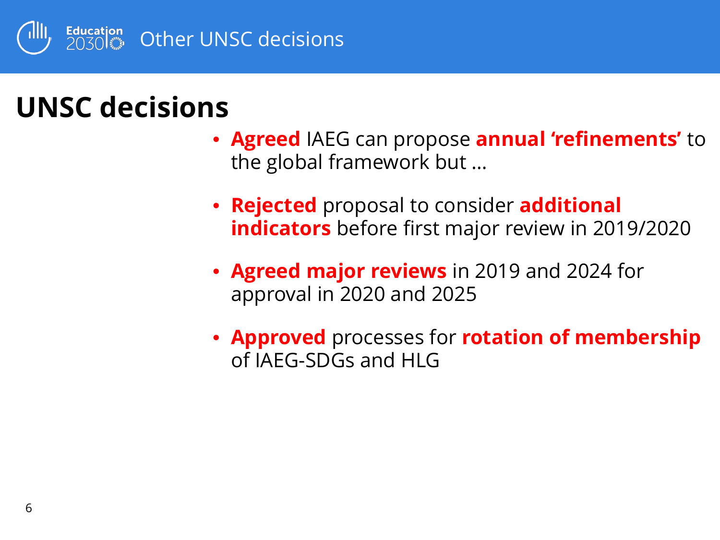

#### **UNSC decisions**

- **Agreed** IAEG can propose **annual 'refinements'** to the global framework but …
- **Rejected** proposal to consider **additional indicators** before first major review in 2019/2020
- **Agreed major reviews** in 2019 and 2024 for approval in 2020 and 2025
- **Approved** processes for **rotation of membership**  of IAEG-SDGs and HLG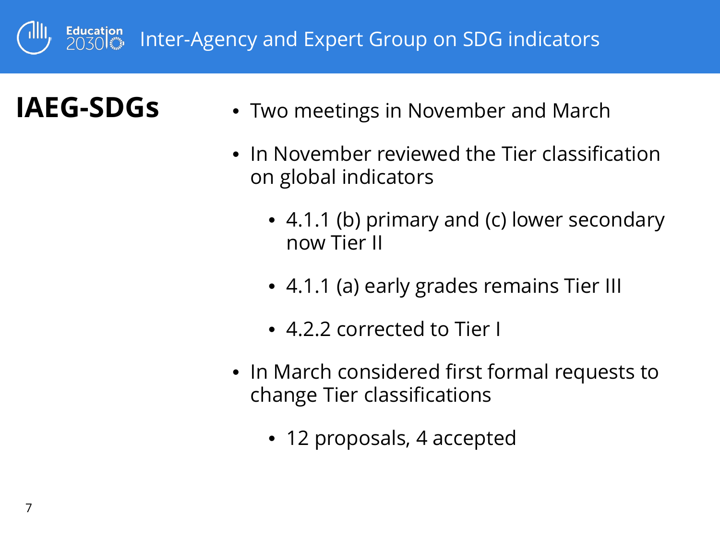

#### **IAEG-SDGs**

- Two meetings in November and March
- In November reviewed the Tier classification on global indicators
	- 4.1.1 (b) primary and (c) lower secondary now Tier II
	- 4.1.1 (a) early grades remains Tier III
	- 4.2.2 corrected to Tier I
- In March considered first formal requests to change Tier classifications
	- 12 proposals, 4 accepted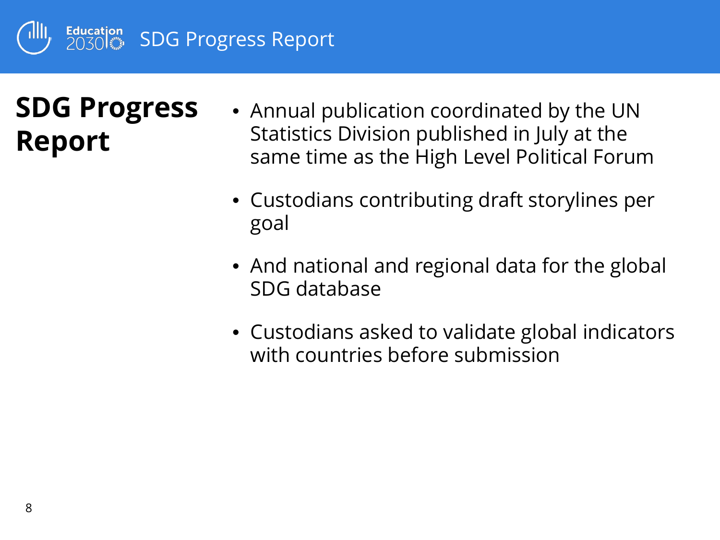

## **SDG Progress Report**

- Annual publication coordinated by the UN Statistics Division published in July at the same time as the High Level Political Forum
- Custodians contributing draft storylines per goal
- And national and regional data for the global SDG database
- Custodians asked to validate global indicators with countries before submission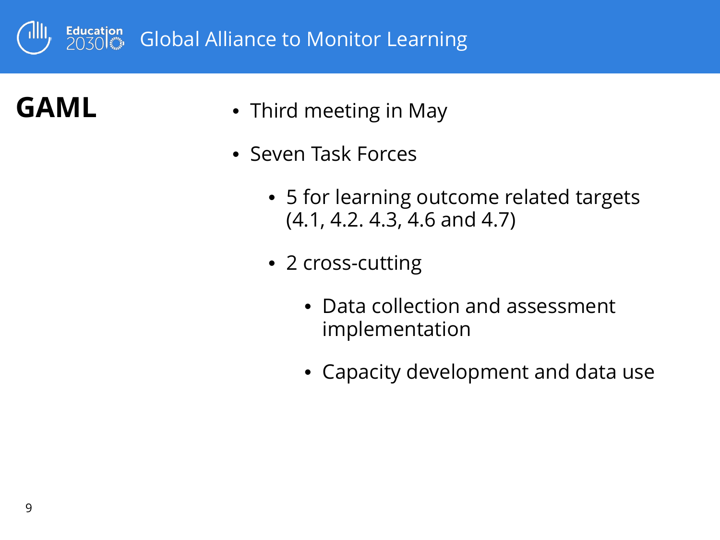

#### **GAML**

- Third meeting in May
- Seven Task Forces
	- 5 for learning outcome related targets (4.1, 4.2. 4.3, 4.6 and 4.7)
	- 2 cross-cutting
		- Data collection and assessment implementation
		- Capacity development and data use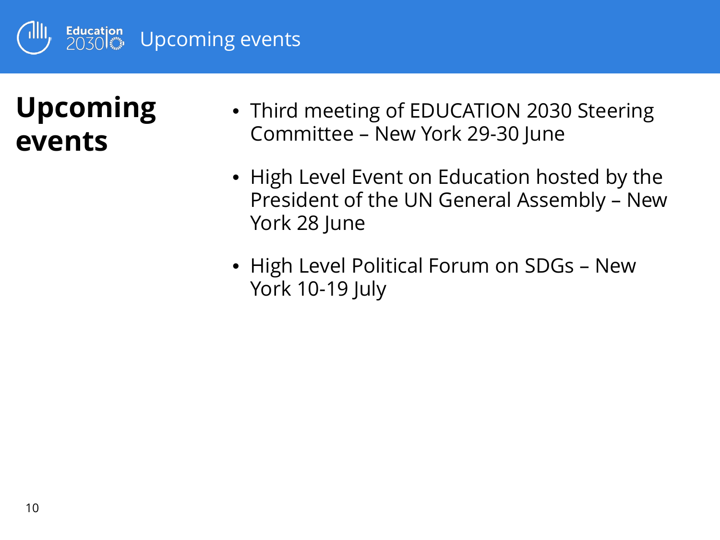

### **Upcoming events**

- Third meeting of EDUCATION 2030 Steering Committee – New York 29-30 June
- High Level Event on Education hosted by the President of the UN General Assembly – New York 28 June
- High Level Political Forum on SDGs New York 10-19 July